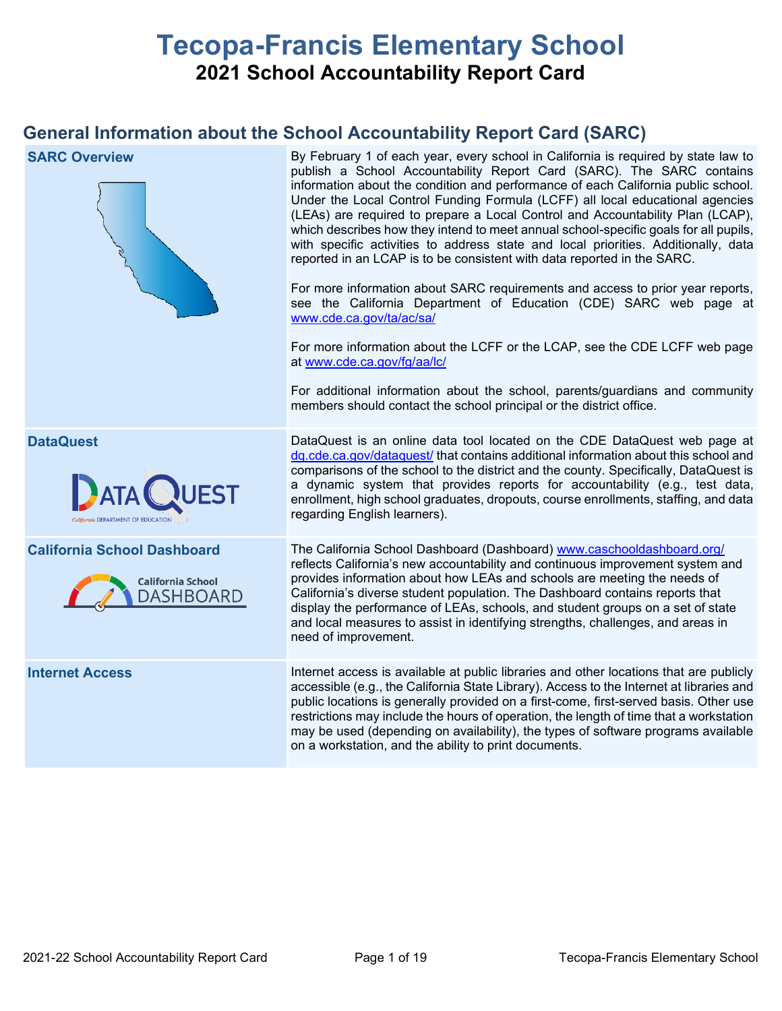# **Tecopa-Francis Elementary School 2021 School Accountability Report Card**

# **General Information about the School Accountability Report Card (SARC)**

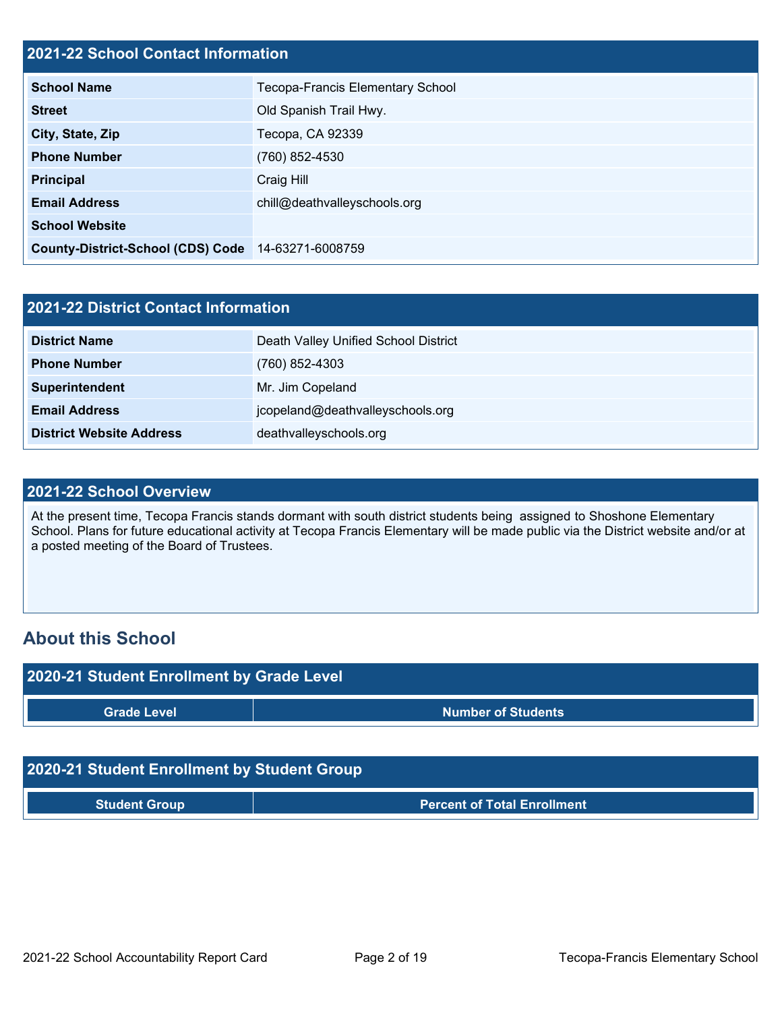#### **2021-22 School Contact Information**

| <u> Eve i ee School Schwact hilchmatich</u>        |                                         |
|----------------------------------------------------|-----------------------------------------|
| <b>School Name</b>                                 | <b>Tecopa-Francis Elementary School</b> |
| <b>Street</b>                                      | Old Spanish Trail Hwy.                  |
| City, State, Zip                                   | Tecopa, CA 92339                        |
| <b>Phone Number</b>                                | (760) 852-4530                          |
| <b>Principal</b>                                   | Craig Hill                              |
| <b>Email Address</b>                               | chill@deathvalleyschools.org            |
| <b>School Website</b>                              |                                         |
| County-District-School (CDS) Code 14-63271-6008759 |                                         |

| 2021-22 District Contact Information |                                      |  |  |  |  |
|--------------------------------------|--------------------------------------|--|--|--|--|
| <b>District Name</b>                 | Death Valley Unified School District |  |  |  |  |
| <b>Phone Number</b>                  | (760) 852-4303                       |  |  |  |  |
| Superintendent                       | Mr. Jim Copeland                     |  |  |  |  |
| <b>Email Address</b>                 | jcopeland@deathvalleyschools.org     |  |  |  |  |
| <b>District Website Address</b>      | deathvalleyschools.org               |  |  |  |  |

#### **2021-22 School Overview**

At the present time, Tecopa Francis stands dormant with south district students being assigned to Shoshone Elementary School. Plans for future educational activity at Tecopa Francis Elementary will be made public via the District website and/or at a posted meeting of the Board of Trustees.

### **About this School**



**Student Group Percent of Total Enrollment**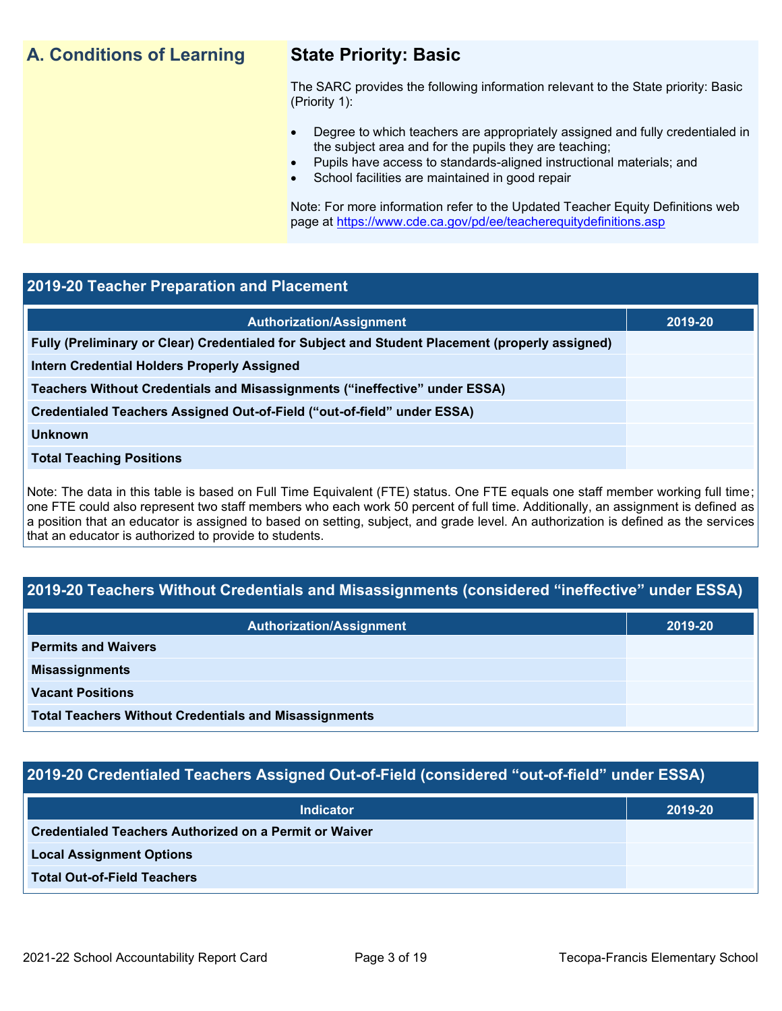### **A. Conditions of Learning State Priority: Basic**

The SARC provides the following information relevant to the State priority: Basic (Priority 1):

- Degree to which teachers are appropriately assigned and fully credentialed in the subject area and for the pupils they are teaching;
	- Pupils have access to standards-aligned instructional materials; and
- School facilities are maintained in good repair

Note: For more information refer to the Updated Teacher Equity Definitions web page at<https://www.cde.ca.gov/pd/ee/teacherequitydefinitions.asp>

#### **2019-20 Teacher Preparation and Placement**

| <b>Authorization/Assignment</b>                                                                 | 2019-20 |
|-------------------------------------------------------------------------------------------------|---------|
| Fully (Preliminary or Clear) Credentialed for Subject and Student Placement (properly assigned) |         |
| Intern Credential Holders Properly Assigned                                                     |         |
| Teachers Without Credentials and Misassignments ("ineffective" under ESSA)                      |         |
| Credentialed Teachers Assigned Out-of-Field ("out-of-field" under ESSA)                         |         |
| <b>Unknown</b>                                                                                  |         |
| <b>Total Teaching Positions</b>                                                                 |         |
|                                                                                                 |         |

Note: The data in this table is based on Full Time Equivalent (FTE) status. One FTE equals one staff member working full time; one FTE could also represent two staff members who each work 50 percent of full time. Additionally, an assignment is defined as a position that an educator is assigned to based on setting, subject, and grade level. An authorization is defined as the services that an educator is authorized to provide to students.

### **2019-20 Teachers Without Credentials and Misassignments (considered "ineffective" under ESSA)**

| <b>Authorization/Assignment</b>                              | 2019-20 |
|--------------------------------------------------------------|---------|
| <b>Permits and Waivers</b>                                   |         |
| <b>Misassignments</b>                                        |         |
| <b>Vacant Positions</b>                                      |         |
| <b>Total Teachers Without Credentials and Misassignments</b> |         |

### **2019-20 Credentialed Teachers Assigned Out-of-Field (considered "out-of-field" under ESSA)**

| <b>Indicator</b>                                       | 2019-20 |
|--------------------------------------------------------|---------|
| Credentialed Teachers Authorized on a Permit or Waiver |         |
| <b>Local Assignment Options</b>                        |         |
| <b>Total Out-of-Field Teachers</b>                     |         |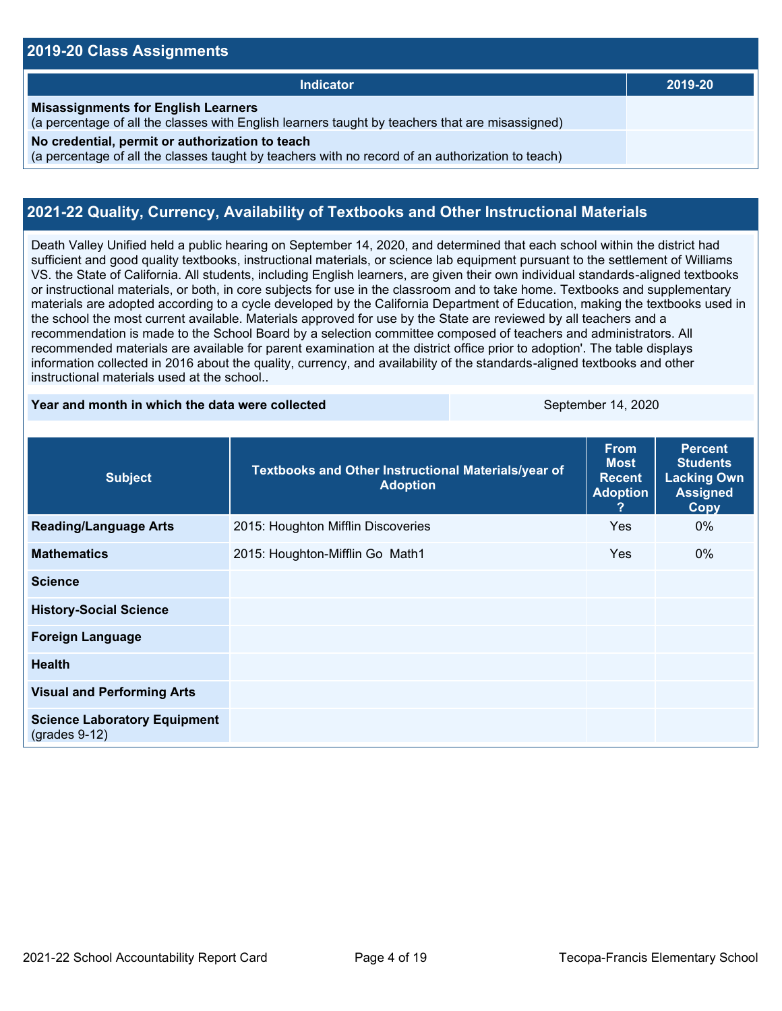#### **2019-20 Class Assignments**

| <b>Indicator</b>                                                                                                                                    | 2019-20 |
|-----------------------------------------------------------------------------------------------------------------------------------------------------|---------|
| <b>Misassignments for English Learners</b><br>(a percentage of all the classes with English learners taught by teachers that are misassigned)       |         |
| No credential, permit or authorization to teach<br>(a percentage of all the classes taught by teachers with no record of an authorization to teach) |         |

#### **2021-22 Quality, Currency, Availability of Textbooks and Other Instructional Materials**

Death Valley Unified held a public hearing on September 14, 2020, and determined that each school within the district had sufficient and good quality textbooks, instructional materials, or science lab equipment pursuant to the settlement of Williams VS. the State of California. All students, including English learners, are given their own individual standards-aligned textbooks or instructional materials, or both, in core subjects for use in the classroom and to take home. Textbooks and supplementary materials are adopted according to a cycle developed by the California Department of Education, making the textbooks used in the school the most current available. Materials approved for use by the State are reviewed by all teachers and a recommendation is made to the School Board by a selection committee composed of teachers and administrators. All recommended materials are available for parent examination at the district office prior to adoption'. The table displays information collected in 2016 about the quality, currency, and availability of the standards-aligned textbooks and other instructional materials used at the school..

#### **Year and month in which the data were collected September 14, 2020**

| <b>Subject</b>                                         | Textbooks and Other Instructional Materials/year of<br><b>Adoption</b> | <b>From</b><br><b>Most</b><br><b>Recent</b><br><b>Adoption</b><br>? | <b>Percent</b><br><b>Students</b><br><b>Lacking Own</b><br><b>Assigned</b><br><b>Copy</b> |
|--------------------------------------------------------|------------------------------------------------------------------------|---------------------------------------------------------------------|-------------------------------------------------------------------------------------------|
| <b>Reading/Language Arts</b>                           | 2015: Houghton Mifflin Discoveries                                     | Yes                                                                 | $0\%$                                                                                     |
| <b>Mathematics</b>                                     | 2015: Houghton-Mifflin Go Math1                                        | Yes                                                                 | $0\%$                                                                                     |
| <b>Science</b>                                         |                                                                        |                                                                     |                                                                                           |
| <b>History-Social Science</b>                          |                                                                        |                                                                     |                                                                                           |
| <b>Foreign Language</b>                                |                                                                        |                                                                     |                                                                                           |
| <b>Health</b>                                          |                                                                        |                                                                     |                                                                                           |
| <b>Visual and Performing Arts</b>                      |                                                                        |                                                                     |                                                                                           |
| <b>Science Laboratory Equipment</b><br>$(grades 9-12)$ |                                                                        |                                                                     |                                                                                           |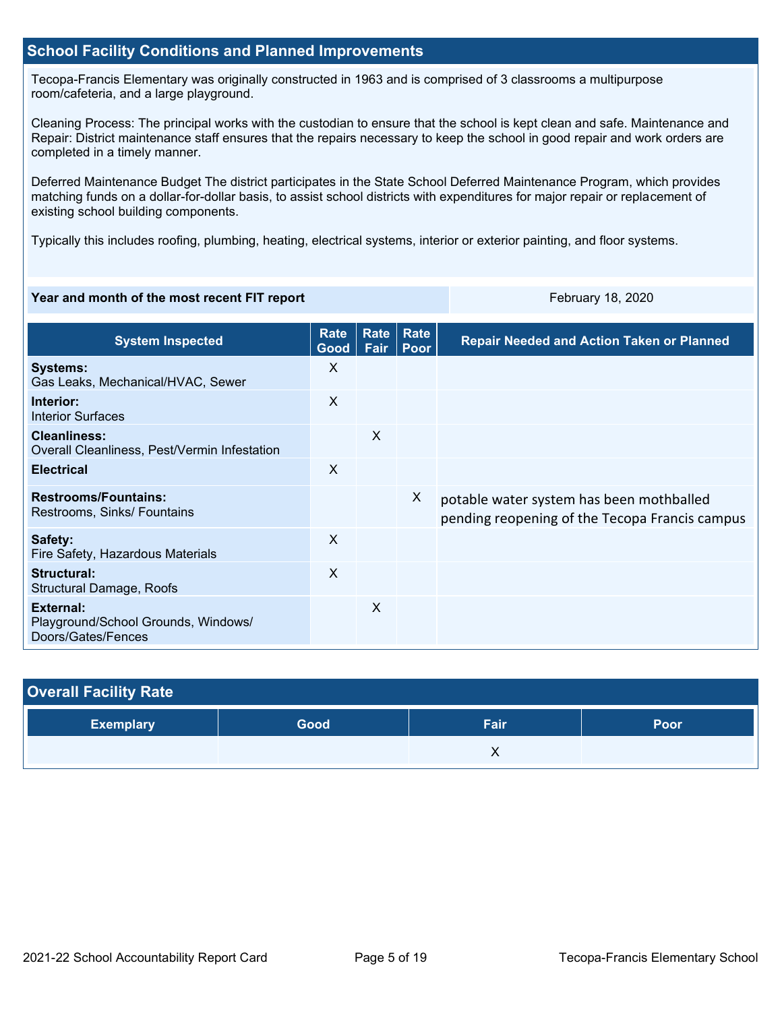#### **School Facility Conditions and Planned Improvements**

Tecopa-Francis Elementary was originally constructed in 1963 and is comprised of 3 classrooms a multipurpose room/cafeteria, and a large playground.

Cleaning Process: The principal works with the custodian to ensure that the school is kept clean and safe. Maintenance and Repair: District maintenance staff ensures that the repairs necessary to keep the school in good repair and work orders are completed in a timely manner.

Deferred Maintenance Budget The district participates in the State School Deferred Maintenance Program, which provides matching funds on a dollar-for-dollar basis, to assist school districts with expenditures for major repair or replacement of existing school building components.

Typically this includes roofing, plumbing, heating, electrical systems, interior or exterior painting, and floor systems.

#### **Year and month of the most recent FIT report** February 18, 2020

| <b>System Inspected</b>                                                | <b>Rate</b><br>Good       | Rate<br>Fair | Rate<br>Poor | <b>Repair Needed and Action Taken or Planned</b>                                           |
|------------------------------------------------------------------------|---------------------------|--------------|--------------|--------------------------------------------------------------------------------------------|
| <b>Systems:</b><br>Gas Leaks, Mechanical/HVAC, Sewer                   | X                         |              |              |                                                                                            |
| Interior:<br>Interior Surfaces                                         | X                         |              |              |                                                                                            |
| <b>Cleanliness:</b><br>Overall Cleanliness, Pest/Vermin Infestation    |                           | X            |              |                                                                                            |
| <b>Electrical</b>                                                      | X                         |              |              |                                                                                            |
| <b>Restrooms/Fountains:</b><br>Restrooms, Sinks/ Fountains             |                           |              | X            | potable water system has been mothballed<br>pending reopening of the Tecopa Francis campus |
| Safety:<br>Fire Safety, Hazardous Materials                            | $\boldsymbol{\mathsf{X}}$ |              |              |                                                                                            |
| Structural:<br>Structural Damage, Roofs                                | $\times$                  |              |              |                                                                                            |
| External:<br>Playground/School Grounds, Windows/<br>Doors/Gates/Fences |                           | X            |              |                                                                                            |

| <b>Overall Facility Rate</b> |      |       |      |
|------------------------------|------|-------|------|
| <b>Exemplary</b>             | Good | Fair. | Poor |
|                              |      | ∧     |      |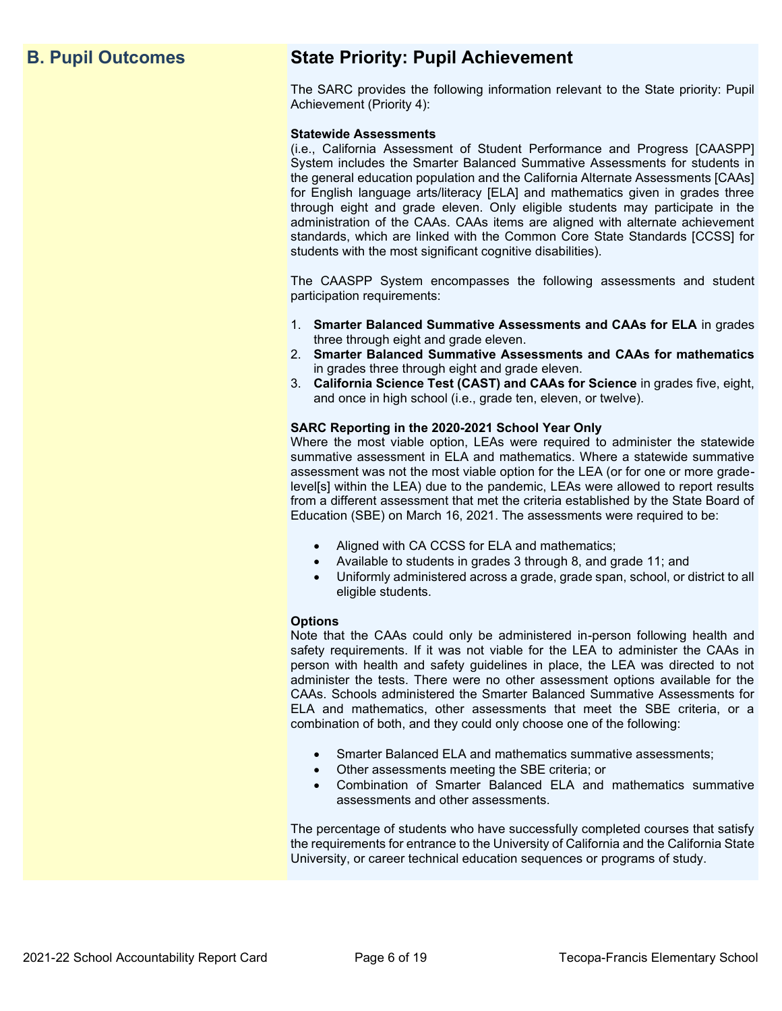# **B. Pupil Outcomes State Priority: Pupil Achievement**

The SARC provides the following information relevant to the State priority: Pupil Achievement (Priority 4):

#### **Statewide Assessments**

(i.e., California Assessment of Student Performance and Progress [CAASPP] System includes the Smarter Balanced Summative Assessments for students in the general education population and the California Alternate Assessments [CAAs] for English language arts/literacy [ELA] and mathematics given in grades three through eight and grade eleven. Only eligible students may participate in the administration of the CAAs. CAAs items are aligned with alternate achievement standards, which are linked with the Common Core State Standards [CCSS] for students with the most significant cognitive disabilities).

The CAASPP System encompasses the following assessments and student participation requirements:

- 1. **Smarter Balanced Summative Assessments and CAAs for ELA** in grades three through eight and grade eleven.
- 2. **Smarter Balanced Summative Assessments and CAAs for mathematics** in grades three through eight and grade eleven.
- 3. **California Science Test (CAST) and CAAs for Science** in grades five, eight, and once in high school (i.e., grade ten, eleven, or twelve).

#### **SARC Reporting in the 2020-2021 School Year Only**

Where the most viable option, LEAs were required to administer the statewide summative assessment in ELA and mathematics. Where a statewide summative assessment was not the most viable option for the LEA (or for one or more gradelevel[s] within the LEA) due to the pandemic, LEAs were allowed to report results from a different assessment that met the criteria established by the State Board of Education (SBE) on March 16, 2021. The assessments were required to be:

- Aligned with CA CCSS for ELA and mathematics;
- Available to students in grades 3 through 8, and grade 11; and
- Uniformly administered across a grade, grade span, school, or district to all eligible students.

#### **Options**

Note that the CAAs could only be administered in-person following health and safety requirements. If it was not viable for the LEA to administer the CAAs in person with health and safety guidelines in place, the LEA was directed to not administer the tests. There were no other assessment options available for the CAAs. Schools administered the Smarter Balanced Summative Assessments for ELA and mathematics, other assessments that meet the SBE criteria, or a combination of both, and they could only choose one of the following:

- Smarter Balanced ELA and mathematics summative assessments;
- Other assessments meeting the SBE criteria; or
- Combination of Smarter Balanced ELA and mathematics summative assessments and other assessments.

The percentage of students who have successfully completed courses that satisfy the requirements for entrance to the University of California and the California State University, or career technical education sequences or programs of study.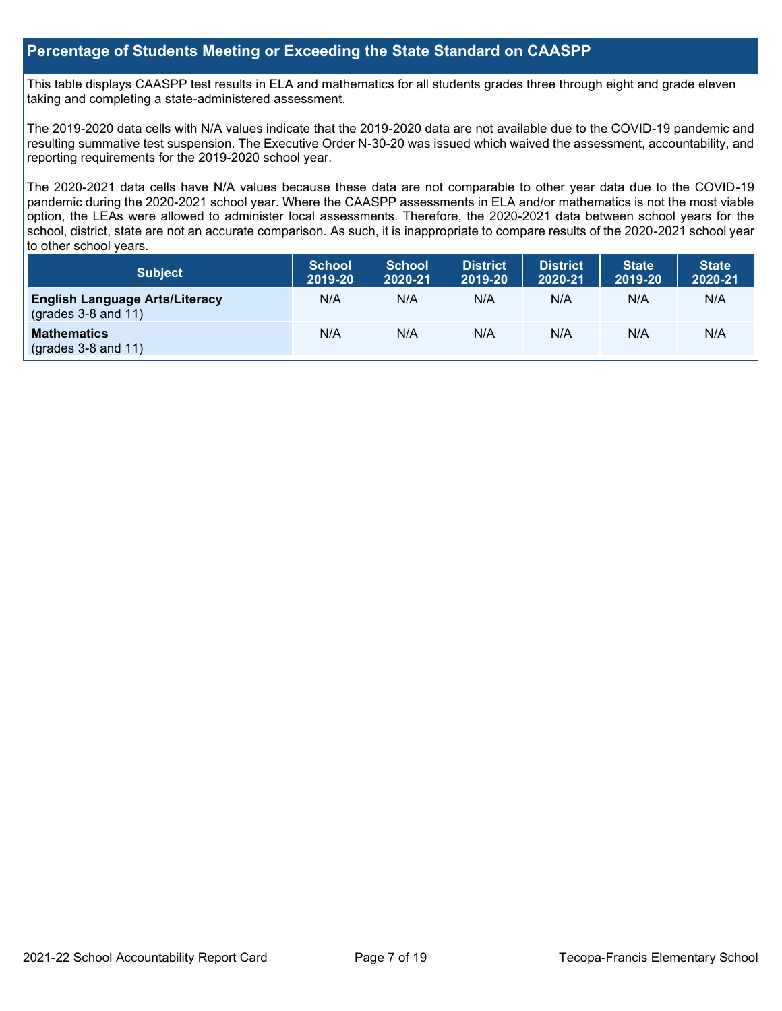#### **Percentage of Students Meeting or Exceeding the State Standard on CAASPP**

This table displays CAASPP test results in ELA and mathematics for all students grades three through eight and grade eleven taking and completing a state-administered assessment.

The 2019-2020 data cells with N/A values indicate that the 2019-2020 data are not available due to the COVID-19 pandemic and resulting summative test suspension. The Executive Order N-30-20 was issued which waived the assessment, accountability, and reporting requirements for the 2019-2020 school year.

The 2020-2021 data cells have N/A values because these data are not comparable to other year data due to the COVID-19 pandemic during the 2020-2021 school year. Where the CAASPP assessments in ELA and/or mathematics is not the most viable option, the LEAs were allowed to administer local assessments. Therefore, the 2020-2021 data between school years for the school, district, state are not an accurate comparison. As such, it is inappropriate to compare results of the 2020-2021 school year to other school years.

| <b>Subject</b>                                                       | <b>School</b><br>2019-20 | <b>School</b><br>2020-21 | <b>District</b><br>2019-20 | <b>District</b><br>2020-21 | <b>State</b><br>2019-20 | <b>State</b><br>2020-21 |
|----------------------------------------------------------------------|--------------------------|--------------------------|----------------------------|----------------------------|-------------------------|-------------------------|
| <b>English Language Arts/Literacy</b><br>$\left($ grades 3-8 and 11) | N/A                      | N/A                      | N/A                        | N/A                        | N/A                     | N/A                     |
| <b>Mathematics</b><br>$($ grades 3-8 and 11 $)$                      | N/A                      | N/A                      | N/A                        | N/A                        | N/A                     | N/A                     |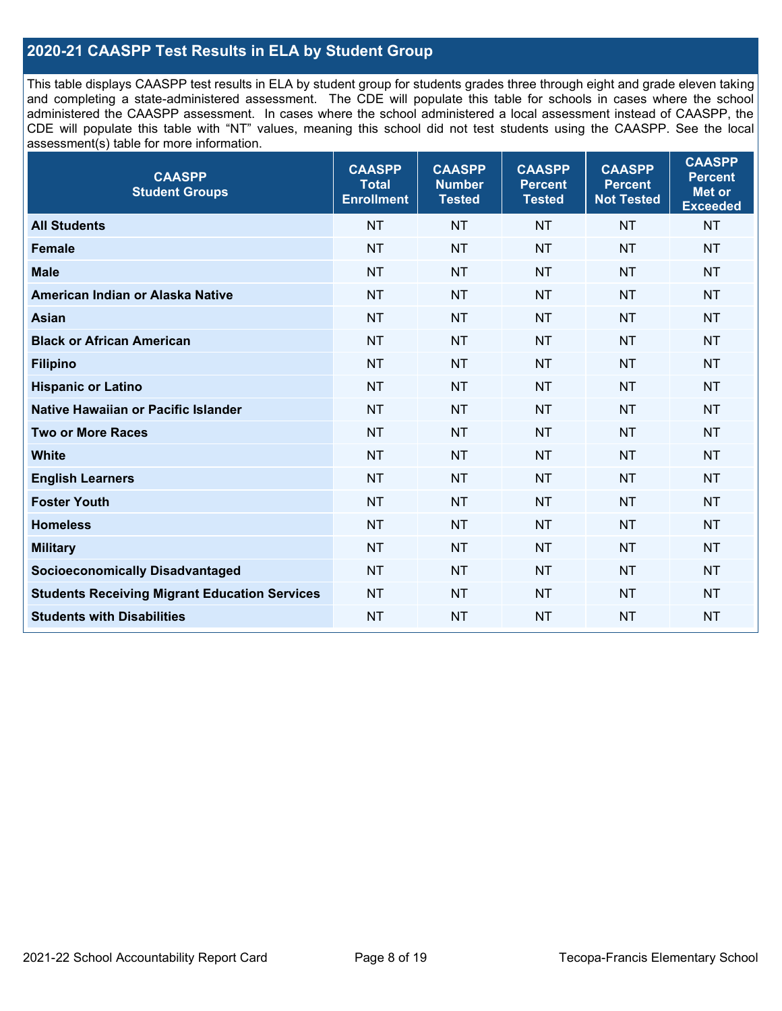#### **2020-21 CAASPP Test Results in ELA by Student Group**

This table displays CAASPP test results in ELA by student group for students grades three through eight and grade eleven taking and completing a state-administered assessment. The CDE will populate this table for schools in cases where the school administered the CAASPP assessment. In cases where the school administered a local assessment instead of CAASPP, the CDE will populate this table with "NT" values, meaning this school did not test students using the CAASPP. See the local assessment(s) table for more information.

| <b>CAASPP</b><br><b>Total</b><br><b>Enrollment</b> | <b>CAASPP</b><br><b>Number</b><br><b>Tested</b> | <b>CAASPP</b><br><b>Percent</b><br><b>Tested</b> | <b>CAASPP</b><br><b>Percent</b><br><b>Not Tested</b> | <b>CAASPP</b><br><b>Percent</b><br>Met or<br><b>Exceeded</b> |
|----------------------------------------------------|-------------------------------------------------|--------------------------------------------------|------------------------------------------------------|--------------------------------------------------------------|
| <b>NT</b>                                          | <b>NT</b>                                       | <b>NT</b>                                        | <b>NT</b>                                            | <b>NT</b>                                                    |
| <b>NT</b>                                          | <b>NT</b>                                       | <b>NT</b>                                        | <b>NT</b>                                            | <b>NT</b>                                                    |
| <b>NT</b>                                          | <b>NT</b>                                       | <b>NT</b>                                        | <b>NT</b>                                            | <b>NT</b>                                                    |
| <b>NT</b>                                          | <b>NT</b>                                       | <b>NT</b>                                        | <b>NT</b>                                            | <b>NT</b>                                                    |
| <b>NT</b>                                          | <b>NT</b>                                       | <b>NT</b>                                        | <b>NT</b>                                            | <b>NT</b>                                                    |
| <b>NT</b>                                          | <b>NT</b>                                       | <b>NT</b>                                        | <b>NT</b>                                            | <b>NT</b>                                                    |
| <b>NT</b>                                          | <b>NT</b>                                       | <b>NT</b>                                        | <b>NT</b>                                            | <b>NT</b>                                                    |
| <b>NT</b>                                          | <b>NT</b>                                       | <b>NT</b>                                        | <b>NT</b>                                            | <b>NT</b>                                                    |
| <b>NT</b>                                          | <b>NT</b>                                       | <b>NT</b>                                        | <b>NT</b>                                            | <b>NT</b>                                                    |
| <b>NT</b>                                          | <b>NT</b>                                       | <b>NT</b>                                        | <b>NT</b>                                            | <b>NT</b>                                                    |
| <b>NT</b>                                          | <b>NT</b>                                       | <b>NT</b>                                        | <b>NT</b>                                            | <b>NT</b>                                                    |
| <b>NT</b>                                          | <b>NT</b>                                       | <b>NT</b>                                        | <b>NT</b>                                            | <b>NT</b>                                                    |
| <b>NT</b>                                          | <b>NT</b>                                       | <b>NT</b>                                        | <b>NT</b>                                            | <b>NT</b>                                                    |
| <b>NT</b>                                          | <b>NT</b>                                       | <b>NT</b>                                        | <b>NT</b>                                            | <b>NT</b>                                                    |
| <b>NT</b>                                          | <b>NT</b>                                       | <b>NT</b>                                        | <b>NT</b>                                            | <b>NT</b>                                                    |
| <b>NT</b>                                          | <b>NT</b>                                       | <b>NT</b>                                        | <b>NT</b>                                            | <b>NT</b>                                                    |
| <b>NT</b>                                          | <b>NT</b>                                       | <b>NT</b>                                        | <b>NT</b>                                            | <b>NT</b>                                                    |
| <b>NT</b>                                          | <b>NT</b>                                       | <b>NT</b>                                        | <b>NT</b>                                            | <b>NT</b>                                                    |
|                                                    |                                                 |                                                  |                                                      |                                                              |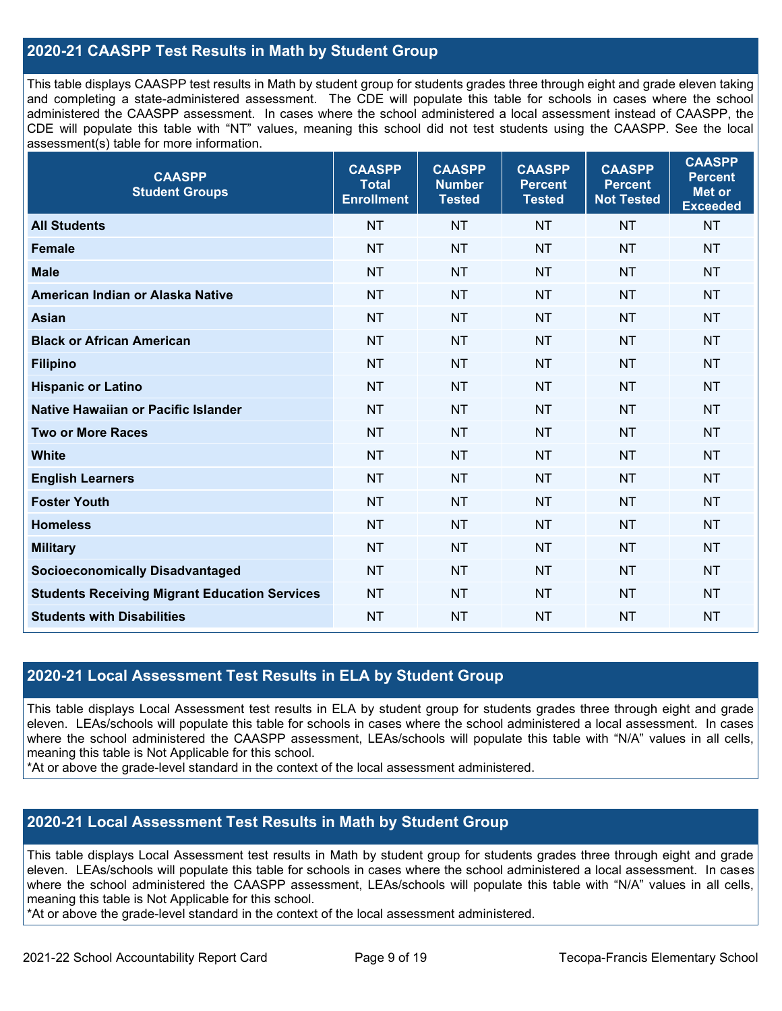#### **2020-21 CAASPP Test Results in Math by Student Group**

This table displays CAASPP test results in Math by student group for students grades three through eight and grade eleven taking and completing a state-administered assessment. The CDE will populate this table for schools in cases where the school administered the CAASPP assessment. In cases where the school administered a local assessment instead of CAASPP, the CDE will populate this table with "NT" values, meaning this school did not test students using the CAASPP. See the local assessment(s) table for more information.

| <b>CAASPP</b><br><b>Student Groups</b>               | <b>CAASPP</b><br><b>Total</b><br><b>Enrollment</b> | <b>CAASPP</b><br><b>Number</b><br><b>Tested</b> | <b>CAASPP</b><br><b>Percent</b><br><b>Tested</b> | <b>CAASPP</b><br><b>Percent</b><br><b>Not Tested</b> | <b>CAASPP</b><br><b>Percent</b><br><b>Met or</b><br><b>Exceeded</b> |
|------------------------------------------------------|----------------------------------------------------|-------------------------------------------------|--------------------------------------------------|------------------------------------------------------|---------------------------------------------------------------------|
| <b>All Students</b>                                  | <b>NT</b>                                          | <b>NT</b>                                       | <b>NT</b>                                        | <b>NT</b>                                            | <b>NT</b>                                                           |
| <b>Female</b>                                        | <b>NT</b>                                          | <b>NT</b>                                       | <b>NT</b>                                        | <b>NT</b>                                            | <b>NT</b>                                                           |
| <b>Male</b>                                          | <b>NT</b>                                          | <b>NT</b>                                       | <b>NT</b>                                        | <b>NT</b>                                            | <b>NT</b>                                                           |
| American Indian or Alaska Native                     | <b>NT</b>                                          | <b>NT</b>                                       | <b>NT</b>                                        | <b>NT</b>                                            | <b>NT</b>                                                           |
| <b>Asian</b>                                         | <b>NT</b>                                          | <b>NT</b>                                       | <b>NT</b>                                        | <b>NT</b>                                            | <b>NT</b>                                                           |
| <b>Black or African American</b>                     | <b>NT</b>                                          | <b>NT</b>                                       | <b>NT</b>                                        | <b>NT</b>                                            | <b>NT</b>                                                           |
| <b>Filipino</b>                                      | <b>NT</b>                                          | <b>NT</b>                                       | <b>NT</b>                                        | <b>NT</b>                                            | <b>NT</b>                                                           |
| <b>Hispanic or Latino</b>                            | <b>NT</b>                                          | <b>NT</b>                                       | <b>NT</b>                                        | <b>NT</b>                                            | <b>NT</b>                                                           |
| Native Hawaiian or Pacific Islander                  | <b>NT</b>                                          | <b>NT</b>                                       | <b>NT</b>                                        | <b>NT</b>                                            | <b>NT</b>                                                           |
| <b>Two or More Races</b>                             | <b>NT</b>                                          | <b>NT</b>                                       | <b>NT</b>                                        | <b>NT</b>                                            | <b>NT</b>                                                           |
| <b>White</b>                                         | <b>NT</b>                                          | <b>NT</b>                                       | <b>NT</b>                                        | <b>NT</b>                                            | <b>NT</b>                                                           |
| <b>English Learners</b>                              | <b>NT</b>                                          | <b>NT</b>                                       | <b>NT</b>                                        | <b>NT</b>                                            | <b>NT</b>                                                           |
| <b>Foster Youth</b>                                  | <b>NT</b>                                          | <b>NT</b>                                       | <b>NT</b>                                        | <b>NT</b>                                            | <b>NT</b>                                                           |
| <b>Homeless</b>                                      | <b>NT</b>                                          | <b>NT</b>                                       | <b>NT</b>                                        | <b>NT</b>                                            | <b>NT</b>                                                           |
| <b>Military</b>                                      | <b>NT</b>                                          | <b>NT</b>                                       | <b>NT</b>                                        | <b>NT</b>                                            | <b>NT</b>                                                           |
| <b>Socioeconomically Disadvantaged</b>               | <b>NT</b>                                          | <b>NT</b>                                       | <b>NT</b>                                        | <b>NT</b>                                            | <b>NT</b>                                                           |
| <b>Students Receiving Migrant Education Services</b> | <b>NT</b>                                          | <b>NT</b>                                       | <b>NT</b>                                        | <b>NT</b>                                            | <b>NT</b>                                                           |
| <b>Students with Disabilities</b>                    | <b>NT</b>                                          | <b>NT</b>                                       | <b>NT</b>                                        | <b>NT</b>                                            | <b>NT</b>                                                           |

#### **2020-21 Local Assessment Test Results in ELA by Student Group**

This table displays Local Assessment test results in ELA by student group for students grades three through eight and grade eleven. LEAs/schools will populate this table for schools in cases where the school administered a local assessment. In cases where the school administered the CAASPP assessment, LEAs/schools will populate this table with "N/A" values in all cells, meaning this table is Not Applicable for this school.

\*At or above the grade-level standard in the context of the local assessment administered.

#### **2020-21 Local Assessment Test Results in Math by Student Group**

This table displays Local Assessment test results in Math by student group for students grades three through eight and grade eleven. LEAs/schools will populate this table for schools in cases where the school administered a local assessment. In cases where the school administered the CAASPP assessment, LEAs/schools will populate this table with "N/A" values in all cells, meaning this table is Not Applicable for this school.

\*At or above the grade-level standard in the context of the local assessment administered.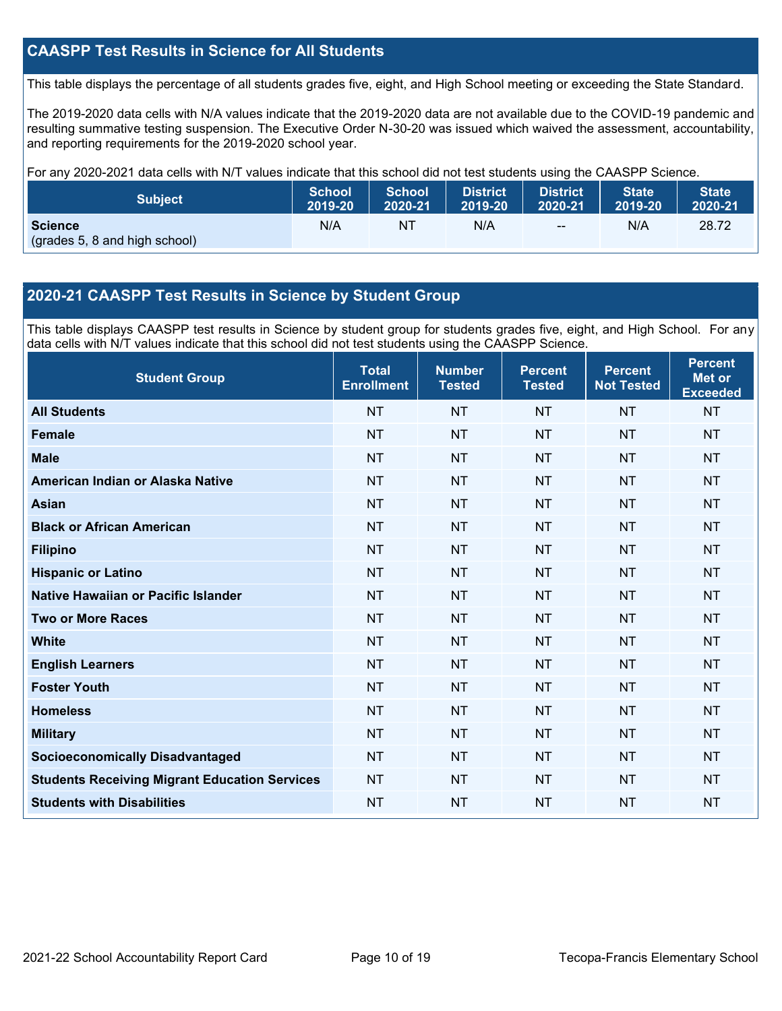#### **CAASPP Test Results in Science for All Students**

This table displays the percentage of all students grades five, eight, and High School meeting or exceeding the State Standard.

The 2019-2020 data cells with N/A values indicate that the 2019-2020 data are not available due to the COVID-19 pandemic and resulting summative testing suspension. The Executive Order N-30-20 was issued which waived the assessment, accountability, and reporting requirements for the 2019-2020 school year.

For any 2020-2021 data cells with N/T values indicate that this school did not test students using the CAASPP Science.

| <b>Subject</b>                                  | <b>School</b> | <b>School</b> | <b>District</b> | <b>District</b> | <b>State</b> | <b>State</b> |
|-------------------------------------------------|---------------|---------------|-----------------|-----------------|--------------|--------------|
|                                                 | 2019-20       | 2020-21       | 2019-20         | 2020-21         | 2019-20      | 2020-21      |
| <b>Science</b><br>(grades 5, 8 and high school) | N/A           | NT            | N/A             | $-$             | N/A          | 28.72        |

#### **2020-21 CAASPP Test Results in Science by Student Group**

This table displays CAASPP test results in Science by student group for students grades five, eight, and High School. For any data cells with N/T values indicate that this school did not test students using the CAASPP Science.

| <b>Student Group</b>                                 | <b>Total</b><br><b>Enrollment</b> | <b>Number</b><br><b>Tested</b> | <b>Percent</b><br><b>Tested</b> | <b>Percent</b><br><b>Not Tested</b> | <b>Percent</b><br><b>Met or</b><br><b>Exceeded</b> |
|------------------------------------------------------|-----------------------------------|--------------------------------|---------------------------------|-------------------------------------|----------------------------------------------------|
| <b>All Students</b>                                  | <b>NT</b>                         | <b>NT</b>                      | <b>NT</b>                       | <b>NT</b>                           | <b>NT</b>                                          |
| <b>Female</b>                                        | <b>NT</b>                         | <b>NT</b>                      | <b>NT</b>                       | <b>NT</b>                           | <b>NT</b>                                          |
| <b>Male</b>                                          | <b>NT</b>                         | <b>NT</b>                      | <b>NT</b>                       | <b>NT</b>                           | <b>NT</b>                                          |
| American Indian or Alaska Native                     | <b>NT</b>                         | <b>NT</b>                      | <b>NT</b>                       | <b>NT</b>                           | <b>NT</b>                                          |
| <b>Asian</b>                                         | <b>NT</b>                         | <b>NT</b>                      | <b>NT</b>                       | <b>NT</b>                           | <b>NT</b>                                          |
| <b>Black or African American</b>                     | <b>NT</b>                         | <b>NT</b>                      | <b>NT</b>                       | <b>NT</b>                           | <b>NT</b>                                          |
| <b>Filipino</b>                                      | <b>NT</b>                         | <b>NT</b>                      | <b>NT</b>                       | <b>NT</b>                           | <b>NT</b>                                          |
| <b>Hispanic or Latino</b>                            | <b>NT</b>                         | <b>NT</b>                      | <b>NT</b>                       | <b>NT</b>                           | <b>NT</b>                                          |
| Native Hawaiian or Pacific Islander                  | <b>NT</b>                         | <b>NT</b>                      | <b>NT</b>                       | <b>NT</b>                           | <b>NT</b>                                          |
| <b>Two or More Races</b>                             | <b>NT</b>                         | <b>NT</b>                      | <b>NT</b>                       | <b>NT</b>                           | <b>NT</b>                                          |
| <b>White</b>                                         | <b>NT</b>                         | <b>NT</b>                      | <b>NT</b>                       | <b>NT</b>                           | <b>NT</b>                                          |
| <b>English Learners</b>                              | <b>NT</b>                         | <b>NT</b>                      | <b>NT</b>                       | <b>NT</b>                           | <b>NT</b>                                          |
| <b>Foster Youth</b>                                  | <b>NT</b>                         | <b>NT</b>                      | <b>NT</b>                       | <b>NT</b>                           | <b>NT</b>                                          |
| <b>Homeless</b>                                      | <b>NT</b>                         | <b>NT</b>                      | <b>NT</b>                       | <b>NT</b>                           | <b>NT</b>                                          |
| <b>Military</b>                                      | <b>NT</b>                         | <b>NT</b>                      | <b>NT</b>                       | <b>NT</b>                           | <b>NT</b>                                          |
| <b>Socioeconomically Disadvantaged</b>               | <b>NT</b>                         | <b>NT</b>                      | <b>NT</b>                       | <b>NT</b>                           | <b>NT</b>                                          |
| <b>Students Receiving Migrant Education Services</b> | <b>NT</b>                         | <b>NT</b>                      | <b>NT</b>                       | <b>NT</b>                           | <b>NT</b>                                          |
| <b>Students with Disabilities</b>                    | <b>NT</b>                         | <b>NT</b>                      | <b>NT</b>                       | <b>NT</b>                           | <b>NT</b>                                          |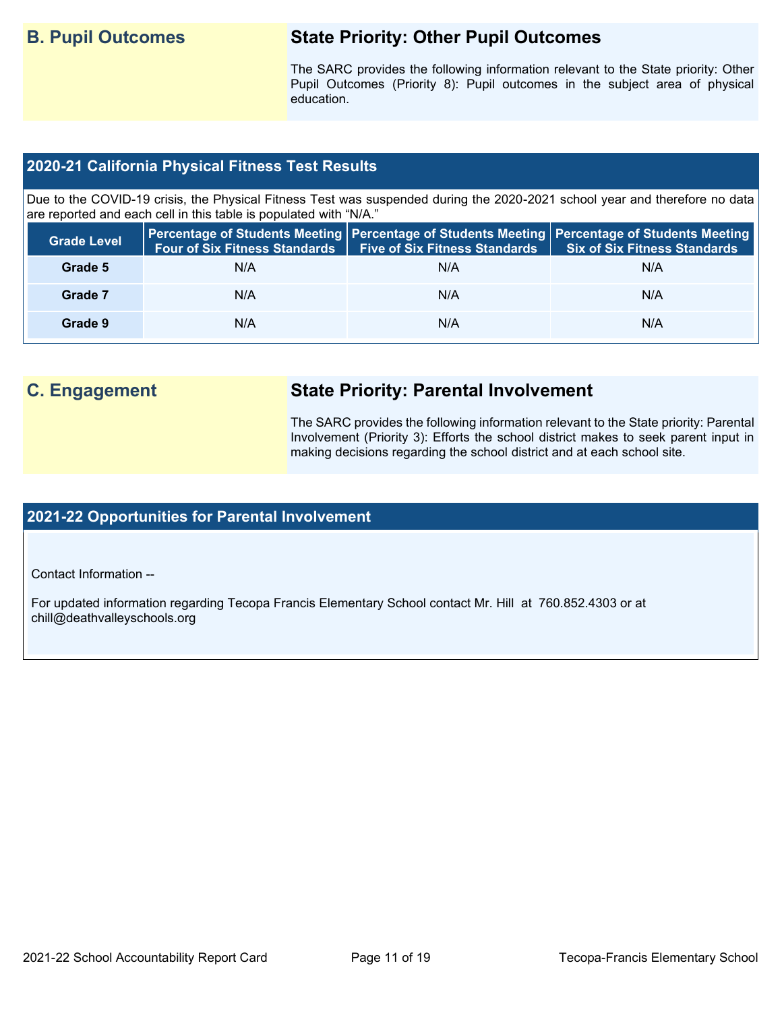## **B. Pupil Outcomes State Priority: Other Pupil Outcomes**

The SARC provides the following information relevant to the State priority: Other Pupil Outcomes (Priority 8): Pupil outcomes in the subject area of physical education.

#### **2020-21 California Physical Fitness Test Results**

Due to the COVID-19 crisis, the Physical Fitness Test was suspended during the 2020-2021 school year and therefore no data are reported and each cell in this table is populated with "N/A."

| <b>Grade Level</b> | <b>Four of Six Fitness Standards</b> | <b>Five of Six Fitness Standards</b> | Percentage of Students Meeting   Percentage of Students Meeting   Percentage of Students Meeting  <br><b>Six of Six Fitness Standards</b> |
|--------------------|--------------------------------------|--------------------------------------|-------------------------------------------------------------------------------------------------------------------------------------------|
| Grade 5            | N/A                                  | N/A                                  | N/A                                                                                                                                       |
| Grade 7            | N/A                                  | N/A                                  | N/A                                                                                                                                       |
| Grade 9            | N/A                                  | N/A                                  | N/A                                                                                                                                       |

# **C. Engagement State Priority: Parental Involvement**

The SARC provides the following information relevant to the State priority: Parental Involvement (Priority 3): Efforts the school district makes to seek parent input in making decisions regarding the school district and at each school site.

#### **2021-22 Opportunities for Parental Involvement**

Contact Information --

For updated information regarding Tecopa Francis Elementary School contact Mr. Hill at 760.852.4303 or at chill@deathvalleyschools.org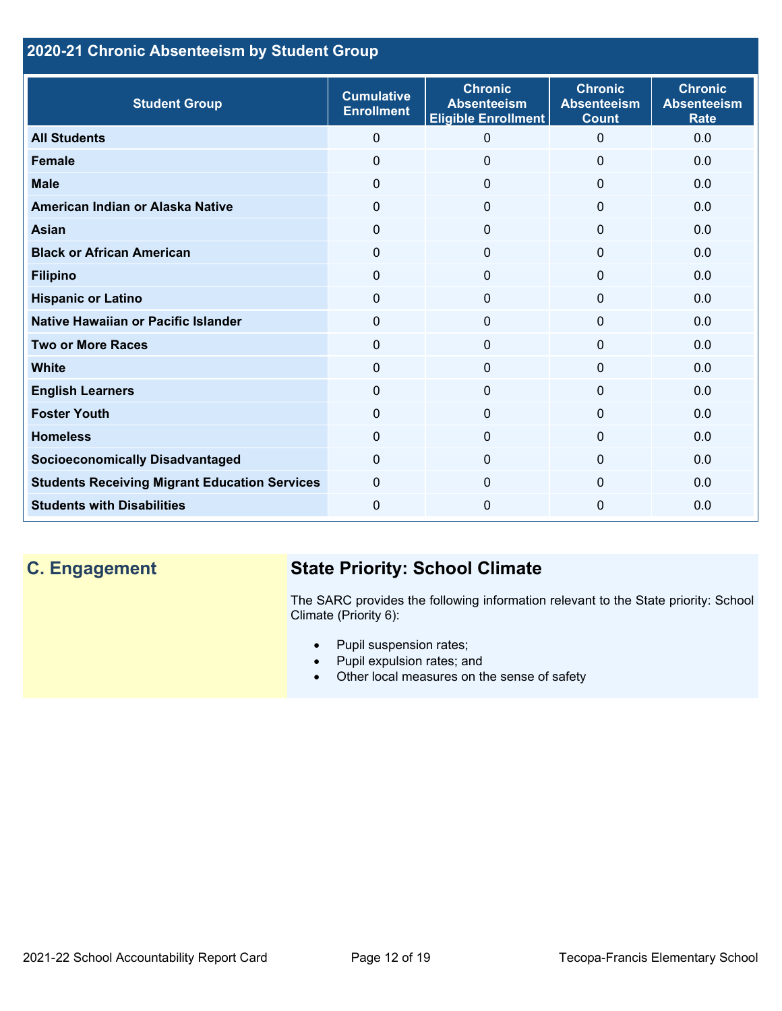### **2020-21 Chronic Absenteeism by Student Group**

| <b>Student Group</b>                                 | <b>Cumulative</b><br><b>Enrollment</b> | <b>Chronic</b><br><b>Absenteeism</b><br><b>Eligible Enrollment</b> | <b>Chronic</b><br><b>Absenteeism</b><br><b>Count</b> | <b>Chronic</b><br><b>Absenteeism</b><br><b>Rate</b> |
|------------------------------------------------------|----------------------------------------|--------------------------------------------------------------------|------------------------------------------------------|-----------------------------------------------------|
| <b>All Students</b>                                  | $\mathbf{0}$                           | 0                                                                  | $\Omega$                                             | 0.0                                                 |
| <b>Female</b>                                        | 0                                      | 0                                                                  | $\mathbf{0}$                                         | 0.0                                                 |
| <b>Male</b>                                          | $\mathbf{0}$                           | $\Omega$                                                           | $\Omega$                                             | 0.0                                                 |
| American Indian or Alaska Native                     | 0                                      | 0                                                                  | $\mathbf{0}$                                         | 0.0                                                 |
| <b>Asian</b>                                         | 0                                      | $\mathbf{0}$                                                       | $\mathbf{0}$                                         | 0.0                                                 |
| <b>Black or African American</b>                     | $\mathbf{0}$                           | $\overline{0}$                                                     | $\mathbf{0}$                                         | 0.0                                                 |
| <b>Filipino</b>                                      | 0                                      | 0                                                                  | $\mathbf 0$                                          | 0.0                                                 |
| <b>Hispanic or Latino</b>                            | 0                                      | 0                                                                  | 0                                                    | 0.0                                                 |
| Native Hawaiian or Pacific Islander                  | 0                                      | $\mathbf{0}$                                                       | $\mathbf 0$                                          | 0.0                                                 |
| <b>Two or More Races</b>                             | $\Omega$                               | 0                                                                  | $\Omega$                                             | 0.0                                                 |
| <b>White</b>                                         | 0                                      | 0                                                                  | $\Omega$                                             | 0.0                                                 |
| <b>English Learners</b>                              | $\Omega$                               | $\Omega$                                                           | $\Omega$                                             | 0.0                                                 |
| <b>Foster Youth</b>                                  | $\mathbf{0}$                           | $\Omega$                                                           | $\Omega$                                             | 0.0                                                 |
| <b>Homeless</b>                                      | $\mathbf{0}$                           | $\Omega$                                                           | $\Omega$                                             | 0.0                                                 |
| <b>Socioeconomically Disadvantaged</b>               | $\Omega$                               | $\Omega$                                                           | $\Omega$                                             | 0.0                                                 |
| <b>Students Receiving Migrant Education Services</b> | $\mathbf{0}$                           | $\Omega$                                                           | $\Omega$                                             | 0.0                                                 |
| <b>Students with Disabilities</b>                    | 0                                      | $\mathbf{0}$                                                       | $\Omega$                                             | 0.0                                                 |

# **C. Engagement State Priority: School Climate**

The SARC provides the following information relevant to the State priority: School Climate (Priority 6):

- Pupil suspension rates;
- Pupil expulsion rates; and
- Other local measures on the sense of safety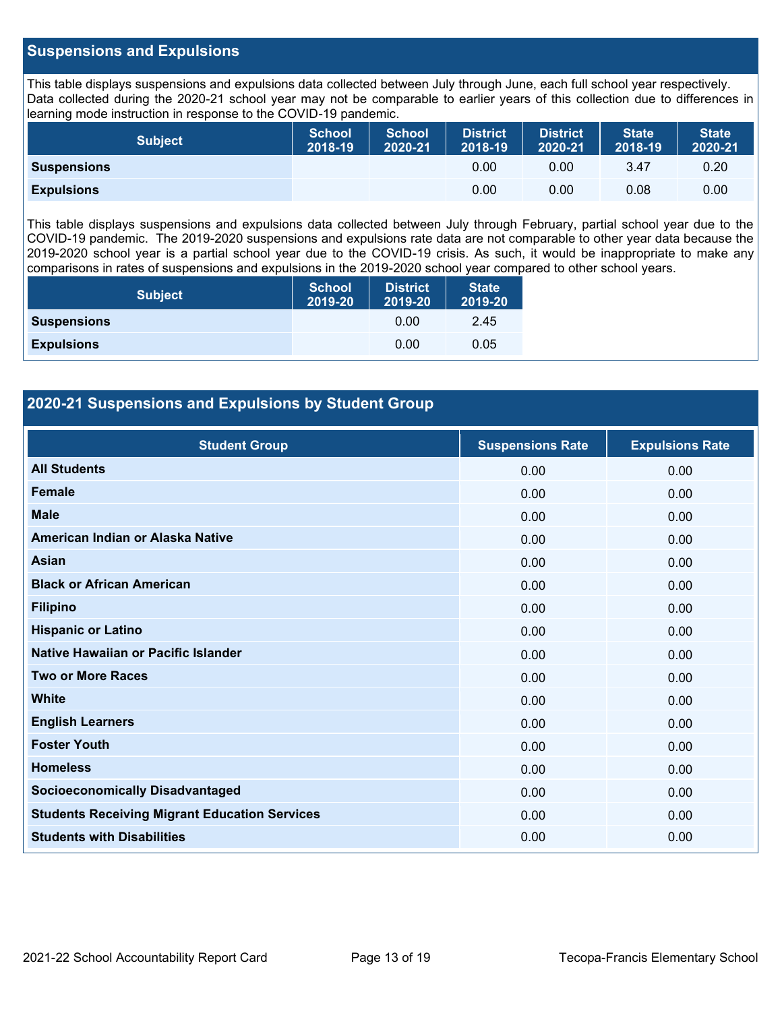#### **Suspensions and Expulsions**

This table displays suspensions and expulsions data collected between July through June, each full school year respectively. Data collected during the 2020-21 school year may not be comparable to earlier years of this collection due to differences in learning mode instruction in response to the COVID-19 pandemic.

| Subject            | <b>School</b><br>2018-19 | <b>School</b><br>2020-21 | <b>District</b><br>2018-19 | <b>District</b><br>2020-21 | <b>State</b><br>2018-19 | <b>State</b><br>2020-21 |
|--------------------|--------------------------|--------------------------|----------------------------|----------------------------|-------------------------|-------------------------|
| <b>Suspensions</b> |                          |                          | 0.00                       | 0.00                       | 3.47                    | 0.20                    |
| <b>Expulsions</b>  |                          |                          | 0.00                       | 0.00                       | 0.08                    | 0.00                    |

This table displays suspensions and expulsions data collected between July through February, partial school year due to the COVID-19 pandemic. The 2019-2020 suspensions and expulsions rate data are not comparable to other year data because the 2019-2020 school year is a partial school year due to the COVID-19 crisis. As such, it would be inappropriate to make any comparisons in rates of suspensions and expulsions in the 2019-2020 school year compared to other school years.

| <b>Subject</b>     | <b>School</b><br>2019-20 | <b>District</b><br>2019-20 | <b>State</b><br>2019-20 |
|--------------------|--------------------------|----------------------------|-------------------------|
| <b>Suspensions</b> |                          | 0.00                       | 2.45                    |
| <b>Expulsions</b>  |                          | 0.00                       | 0.05                    |

#### **2020-21 Suspensions and Expulsions by Student Group**

| <b>Student Group</b>                                 | <b>Suspensions Rate</b> | <b>Expulsions Rate</b> |
|------------------------------------------------------|-------------------------|------------------------|
| <b>All Students</b>                                  | 0.00                    | 0.00                   |
| <b>Female</b>                                        | 0.00                    | 0.00                   |
| <b>Male</b>                                          | 0.00                    | 0.00                   |
| American Indian or Alaska Native                     | 0.00                    | 0.00                   |
| <b>Asian</b>                                         | 0.00                    | 0.00                   |
| <b>Black or African American</b>                     | 0.00                    | 0.00                   |
| <b>Filipino</b>                                      | 0.00                    | 0.00                   |
| <b>Hispanic or Latino</b>                            | 0.00                    | 0.00                   |
| Native Hawaiian or Pacific Islander                  | 0.00                    | 0.00                   |
| <b>Two or More Races</b>                             | 0.00                    | 0.00                   |
| <b>White</b>                                         | 0.00                    | 0.00                   |
| <b>English Learners</b>                              | 0.00                    | 0.00                   |
| <b>Foster Youth</b>                                  | 0.00                    | 0.00                   |
| <b>Homeless</b>                                      | 0.00                    | 0.00                   |
| <b>Socioeconomically Disadvantaged</b>               | 0.00                    | 0.00                   |
| <b>Students Receiving Migrant Education Services</b> | 0.00                    | 0.00                   |
| <b>Students with Disabilities</b>                    | 0.00                    | 0.00                   |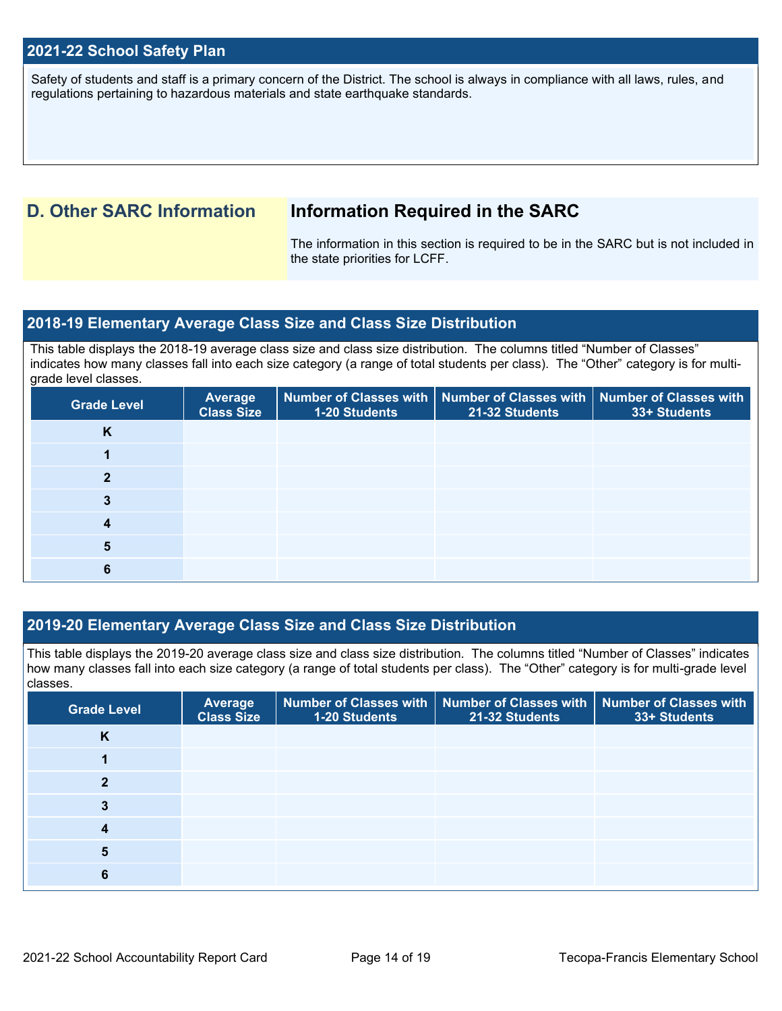#### **2021-22 School Safety Plan**

Safety of students and staff is a primary concern of the District. The school is always in compliance with all laws, rules, and regulations pertaining to hazardous materials and state earthquake standards.

### **D. Other SARC Information Information Required in the SARC**

The information in this section is required to be in the SARC but is not included in the state priorities for LCFF.

#### **2018-19 Elementary Average Class Size and Class Size Distribution**

This table displays the 2018-19 average class size and class size distribution. The columns titled "Number of Classes" indicates how many classes fall into each size category (a range of total students per class). The "Other" category is for multigrade level classes.

| <b>Grade Level</b> | <b>Average</b><br><b>Class Size</b> | <b>1-20 Students</b> | Number of Classes with Number of Classes with Number of Classes with<br>21-32 Students | 33+ Students |
|--------------------|-------------------------------------|----------------------|----------------------------------------------------------------------------------------|--------------|
| K                  |                                     |                      |                                                                                        |              |
|                    |                                     |                      |                                                                                        |              |
| $\mathbf{2}$       |                                     |                      |                                                                                        |              |
|                    |                                     |                      |                                                                                        |              |
| 4                  |                                     |                      |                                                                                        |              |
| 5                  |                                     |                      |                                                                                        |              |
|                    |                                     |                      |                                                                                        |              |

#### **2019-20 Elementary Average Class Size and Class Size Distribution**

This table displays the 2019-20 average class size and class size distribution. The columns titled "Number of Classes" indicates how many classes fall into each size category (a range of total students per class). The "Other" category is for multi-grade level classes.

| <b>Grade Level</b> | <b>Average</b><br><b>Class Size</b> | 1-20 Students | Number of Classes with   Number of Classes with   Number of Classes with<br>21-32 Students | 33+ Students |
|--------------------|-------------------------------------|---------------|--------------------------------------------------------------------------------------------|--------------|
| Κ                  |                                     |               |                                                                                            |              |
|                    |                                     |               |                                                                                            |              |
| $\mathbf{2}$       |                                     |               |                                                                                            |              |
| 3                  |                                     |               |                                                                                            |              |
| 4                  |                                     |               |                                                                                            |              |
| 5                  |                                     |               |                                                                                            |              |
| 6                  |                                     |               |                                                                                            |              |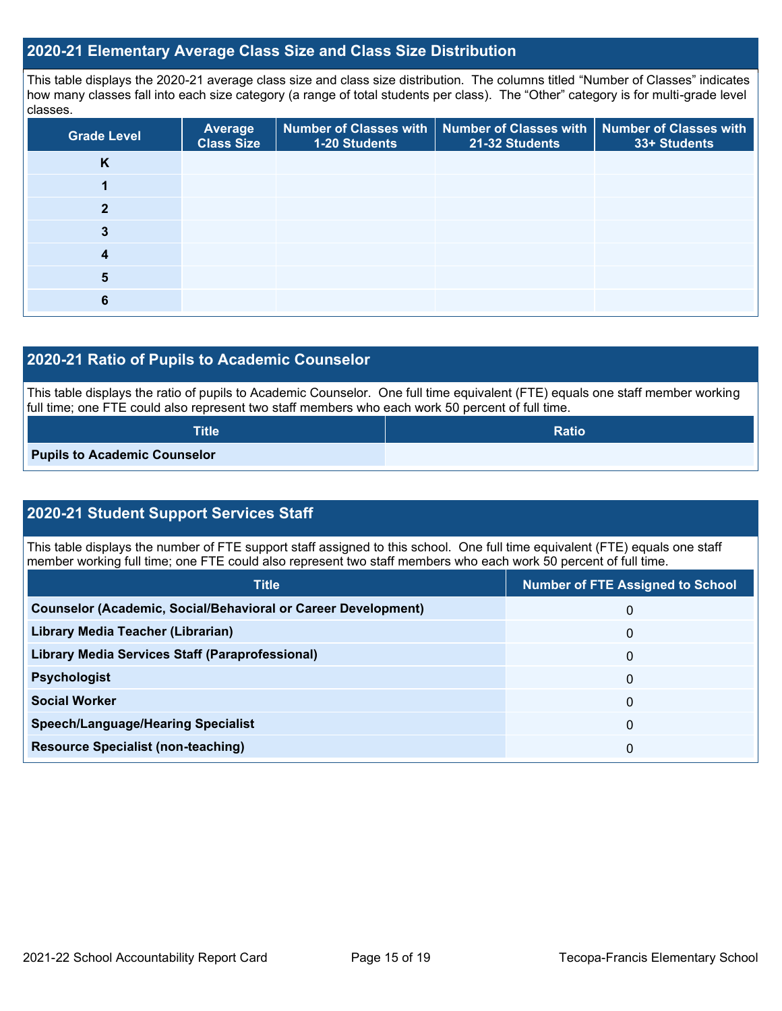#### **2020-21 Elementary Average Class Size and Class Size Distribution**

This table displays the 2020-21 average class size and class size distribution. The columns titled "Number of Classes" indicates how many classes fall into each size category (a range of total students per class). The "Other" category is for multi-grade level classes.

| <b>Grade Level</b> | Average<br><b>Class Size</b> | 1-20 Students | Number of Classes with   Number of Classes with   Number of Classes with<br>21-32 Students | 33+ Students |
|--------------------|------------------------------|---------------|--------------------------------------------------------------------------------------------|--------------|
| K                  |                              |               |                                                                                            |              |
|                    |                              |               |                                                                                            |              |
| ≘                  |                              |               |                                                                                            |              |
|                    |                              |               |                                                                                            |              |
|                    |                              |               |                                                                                            |              |
| 5                  |                              |               |                                                                                            |              |
| b                  |                              |               |                                                                                            |              |

#### **2020-21 Ratio of Pupils to Academic Counselor**

This table displays the ratio of pupils to Academic Counselor. One full time equivalent (FTE) equals one staff member working full time; one FTE could also represent two staff members who each work 50 percent of full time.

| Title                               | <b>Ratio</b> |
|-------------------------------------|--------------|
| <b>Pupils to Academic Counselor</b> |              |

#### **2020-21 Student Support Services Staff**

This table displays the number of FTE support staff assigned to this school. One full time equivalent (FTE) equals one staff member working full time; one FTE could also represent two staff members who each work 50 percent of full time.

| <b>Title</b>                                                         | <b>Number of FTE Assigned to School</b> |
|----------------------------------------------------------------------|-----------------------------------------|
| <b>Counselor (Academic, Social/Behavioral or Career Development)</b> | 0                                       |
| Library Media Teacher (Librarian)                                    | $\Omega$                                |
| Library Media Services Staff (Paraprofessional)                      | 0                                       |
| <b>Psychologist</b>                                                  | 0                                       |
| <b>Social Worker</b>                                                 | $\Omega$                                |
| <b>Speech/Language/Hearing Specialist</b>                            | 0                                       |
| <b>Resource Specialist (non-teaching)</b>                            | 0                                       |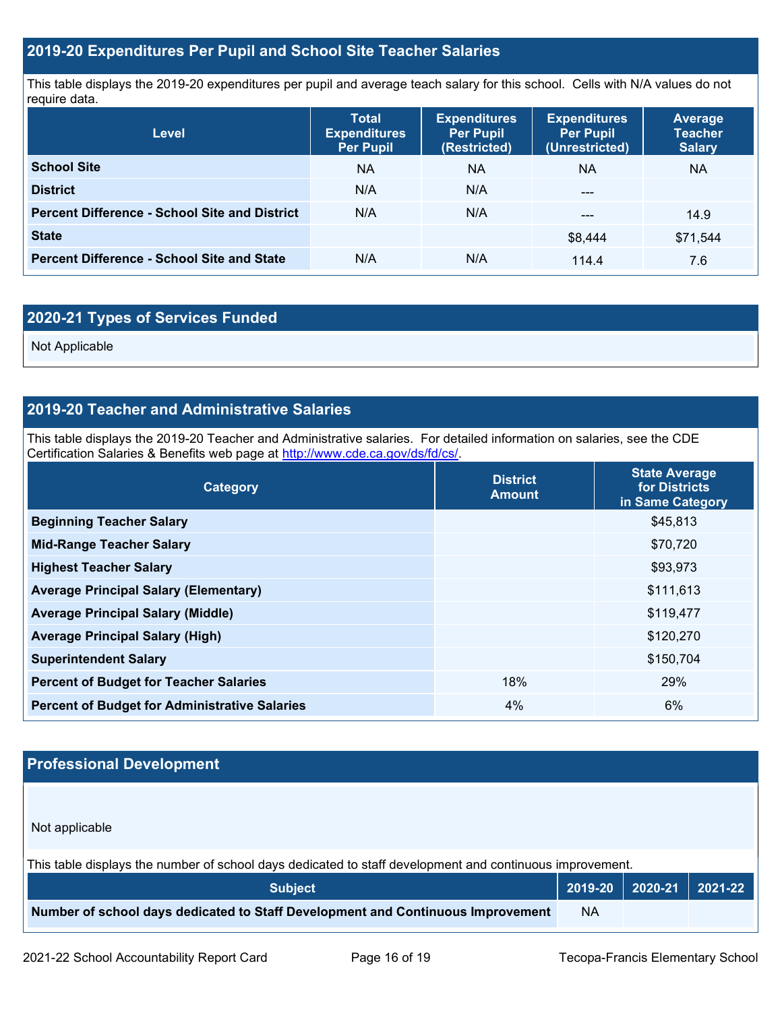#### **2019-20 Expenditures Per Pupil and School Site Teacher Salaries**

This table displays the 2019-20 expenditures per pupil and average teach salary for this school. Cells with N/A values do not require data.

| <b>Level</b>                                         | <b>Total</b><br><b>Expenditures</b><br><b>Per Pupil</b> | <b>Expenditures</b><br><b>Per Pupil</b><br>(Restricted) | <b>Expenditures</b><br><b>Per Pupil</b><br>(Unrestricted) | <b>Average</b><br><b>Teacher</b><br><b>Salary</b> |
|------------------------------------------------------|---------------------------------------------------------|---------------------------------------------------------|-----------------------------------------------------------|---------------------------------------------------|
| <b>School Site</b>                                   | <b>NA</b>                                               | ΝA                                                      | <b>NA</b>                                                 | <b>NA</b>                                         |
| <b>District</b>                                      | N/A                                                     | N/A                                                     | ---                                                       |                                                   |
| <b>Percent Difference - School Site and District</b> | N/A                                                     | N/A                                                     | ---                                                       | 14.9                                              |
| <b>State</b>                                         |                                                         |                                                         | \$8,444                                                   | \$71,544                                          |
| <b>Percent Difference - School Site and State</b>    | N/A                                                     | N/A                                                     | 114.4                                                     | 7.6                                               |

### **2020-21 Types of Services Funded**

Not Applicable

#### **2019-20 Teacher and Administrative Salaries**

This table displays the 2019-20 Teacher and Administrative salaries. For detailed information on salaries, see the CDE Certification Salaries & Benefits web page at [http://www.cde.ca.gov/ds/fd/cs/.](http://www.cde.ca.gov/ds/fd/cs/)

| Category                                             | <b>District</b><br><b>Amount</b> | <b>State Average</b><br>for Districts<br>in Same Category |
|------------------------------------------------------|----------------------------------|-----------------------------------------------------------|
| <b>Beginning Teacher Salary</b>                      |                                  | \$45,813                                                  |
| <b>Mid-Range Teacher Salary</b>                      |                                  | \$70,720                                                  |
| <b>Highest Teacher Salary</b>                        |                                  | \$93,973                                                  |
| <b>Average Principal Salary (Elementary)</b>         |                                  | \$111,613                                                 |
| <b>Average Principal Salary (Middle)</b>             |                                  | \$119,477                                                 |
| <b>Average Principal Salary (High)</b>               |                                  | \$120,270                                                 |
| <b>Superintendent Salary</b>                         |                                  | \$150,704                                                 |
| <b>Percent of Budget for Teacher Salaries</b>        | 18%                              | 29%                                                       |
| <b>Percent of Budget for Administrative Salaries</b> | $4\%$                            | 6%                                                        |

#### **Professional Development**

Not applicable

This table displays the number of school days dedicated to staff development and continuous improvement.

| <b>Subject</b>                                                                  |           | $\vert$ 2019-20 $\vert$ 2020-21 $\vert$ 2021-22 $\vert$ |  |
|---------------------------------------------------------------------------------|-----------|---------------------------------------------------------|--|
| Number of school days dedicated to Staff Development and Continuous Improvement | <b>NA</b> |                                                         |  |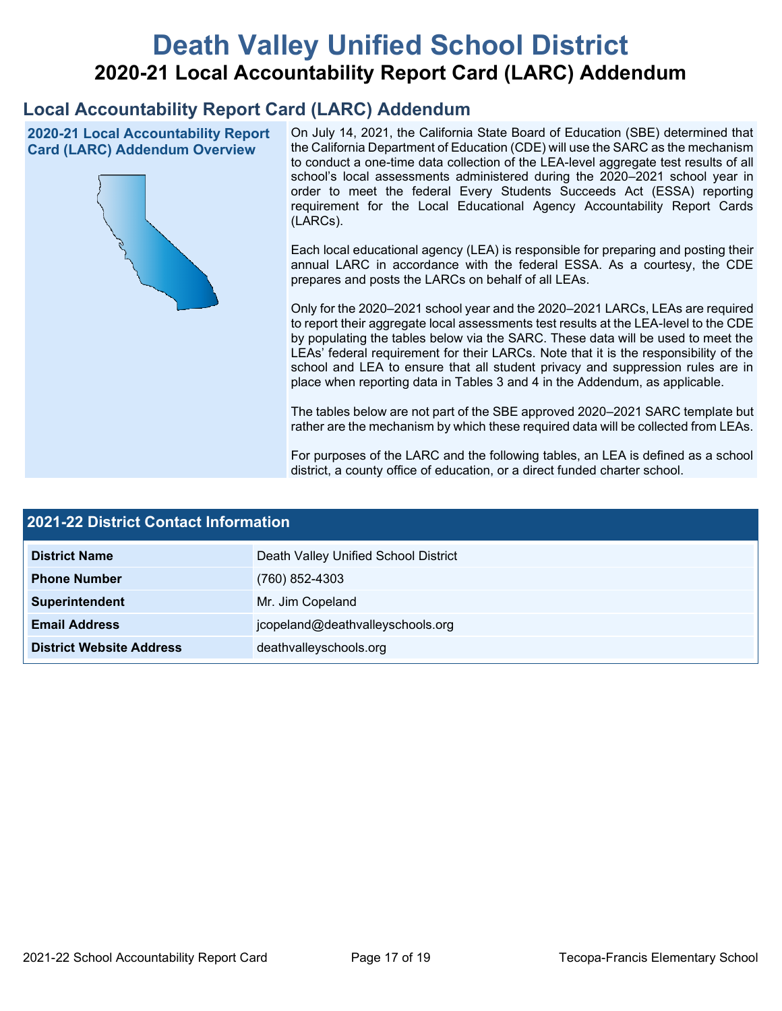# **Death Valley Unified School District 2020-21 Local Accountability Report Card (LARC) Addendum**

## **Local Accountability Report Card (LARC) Addendum**

**2020-21 Local Accountability Report Card (LARC) Addendum Overview**



On July 14, 2021, the California State Board of Education (SBE) determined that the California Department of Education (CDE) will use the SARC as the mechanism to conduct a one-time data collection of the LEA-level aggregate test results of all school's local assessments administered during the 2020–2021 school year in order to meet the federal Every Students Succeeds Act (ESSA) reporting requirement for the Local Educational Agency Accountability Report Cards (LARCs).

Each local educational agency (LEA) is responsible for preparing and posting their annual LARC in accordance with the federal ESSA. As a courtesy, the CDE prepares and posts the LARCs on behalf of all LEAs.

Only for the 2020–2021 school year and the 2020–2021 LARCs, LEAs are required to report their aggregate local assessments test results at the LEA-level to the CDE by populating the tables below via the SARC. These data will be used to meet the LEAs' federal requirement for their LARCs. Note that it is the responsibility of the school and LEA to ensure that all student privacy and suppression rules are in place when reporting data in Tables 3 and 4 in the Addendum, as applicable.

The tables below are not part of the SBE approved 2020–2021 SARC template but rather are the mechanism by which these required data will be collected from LEAs.

For purposes of the LARC and the following tables, an LEA is defined as a school district, a county office of education, or a direct funded charter school.

| 2021-22 District Contact Information |                                      |  |  |  |
|--------------------------------------|--------------------------------------|--|--|--|
| <b>District Name</b>                 | Death Valley Unified School District |  |  |  |
| <b>Phone Number</b>                  | $(760)$ 852-4303                     |  |  |  |
| Superintendent                       | Mr. Jim Copeland                     |  |  |  |
| <b>Email Address</b>                 | jcopeland@deathvalleyschools.org     |  |  |  |
| <b>District Website Address</b>      | deathvalleyschools.org               |  |  |  |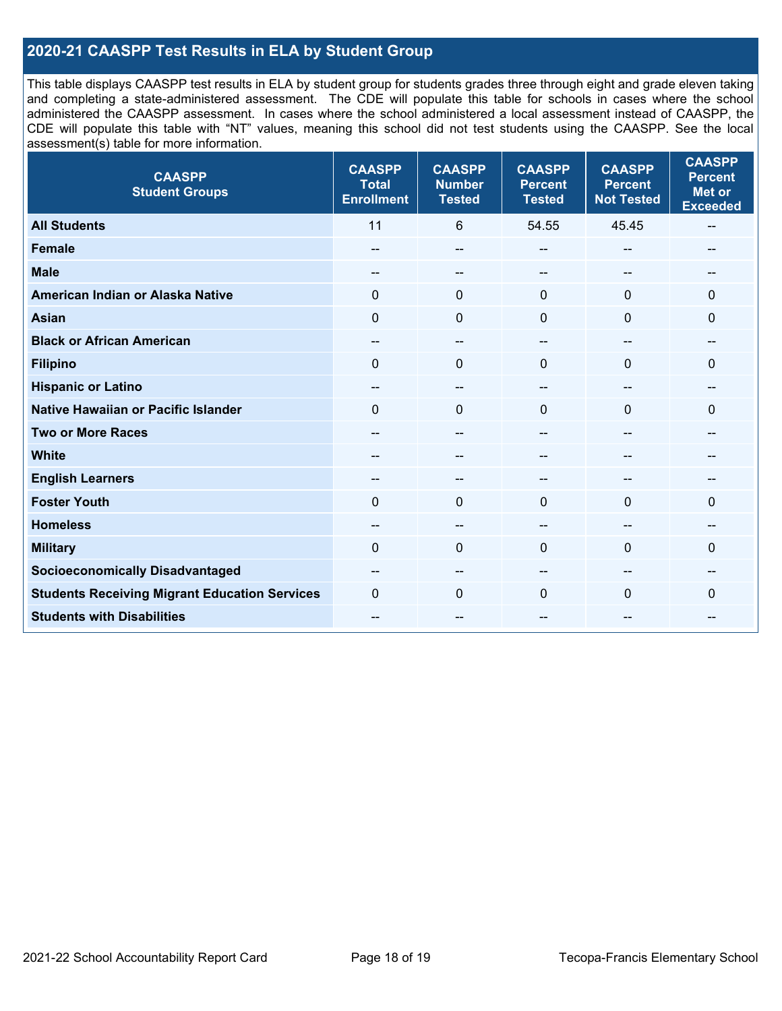#### **2020-21 CAASPP Test Results in ELA by Student Group**

This table displays CAASPP test results in ELA by student group for students grades three through eight and grade eleven taking and completing a state-administered assessment. The CDE will populate this table for schools in cases where the school administered the CAASPP assessment. In cases where the school administered a local assessment instead of CAASPP, the CDE will populate this table with "NT" values, meaning this school did not test students using the CAASPP. See the local assessment(s) table for more information.

| <b>CAASPP</b><br><b>Student Groups</b>               | <b>CAASPP</b><br><b>Total</b><br><b>Enrollment</b> | <b>CAASPP</b><br><b>Number</b><br><b>Tested</b> | <b>CAASPP</b><br><b>Percent</b><br><b>Tested</b> | <b>CAASPP</b><br><b>Percent</b><br><b>Not Tested</b> | <b>CAASPP</b><br><b>Percent</b><br><b>Met or</b><br><b>Exceeded</b> |
|------------------------------------------------------|----------------------------------------------------|-------------------------------------------------|--------------------------------------------------|------------------------------------------------------|---------------------------------------------------------------------|
| <b>All Students</b>                                  | 11                                                 | 6                                               | 54.55                                            | 45.45                                                | $\overline{\phantom{a}}$                                            |
| <b>Female</b>                                        | --                                                 | --                                              | --                                               | --                                                   | --                                                                  |
| <b>Male</b>                                          | --                                                 | $\overline{\phantom{m}}$                        | --                                               | --                                                   | --                                                                  |
| American Indian or Alaska Native                     | 0                                                  | $\pmb{0}$                                       | $\mathbf 0$                                      | $\mathbf{0}$                                         | $\mathbf 0$                                                         |
| <b>Asian</b>                                         | $\mathbf 0$                                        | $\mathbf 0$                                     | $\mathbf{0}$                                     | $\Omega$                                             | $\mathbf{0}$                                                        |
| <b>Black or African American</b>                     | $\overline{\phantom{a}}$                           | $\overline{\phantom{a}}$                        | --                                               | $\overline{\phantom{a}}$                             | --                                                                  |
| <b>Filipino</b>                                      | $\mathbf 0$                                        | $\mathbf{0}$                                    | $\Omega$                                         | $\Omega$                                             | $\mathbf 0$                                                         |
| <b>Hispanic or Latino</b>                            | --                                                 | $\overline{\phantom{a}}$                        | --                                               | $\sim$                                               | --                                                                  |
| <b>Native Hawaiian or Pacific Islander</b>           | $\Omega$                                           | $\mathbf 0$                                     | $\mathbf{0}$                                     | $\mathbf{0}$                                         | $\mathbf 0$                                                         |
| <b>Two or More Races</b>                             | --                                                 | $-$                                             | --                                               | $-$                                                  | --                                                                  |
| <b>White</b>                                         | $\overline{a}$                                     | --                                              | --                                               | --                                                   | --                                                                  |
| <b>English Learners</b>                              | $- -$                                              | --                                              |                                                  |                                                      | --                                                                  |
| <b>Foster Youth</b>                                  | $\Omega$                                           | $\mathbf 0$                                     | $\mathbf{0}$                                     | $\Omega$                                             | $\mathbf{0}$                                                        |
| <b>Homeless</b>                                      | --                                                 | --                                              | --                                               | --                                                   |                                                                     |
| <b>Military</b>                                      | $\Omega$                                           | $\mathbf 0$                                     | $\mathbf{0}$                                     | 0                                                    | $\Omega$                                                            |
| <b>Socioeconomically Disadvantaged</b>               | --                                                 | --                                              | --                                               |                                                      | --                                                                  |
| <b>Students Receiving Migrant Education Services</b> | $\Omega$                                           | $\mathbf 0$                                     | $\Omega$                                         | $\Omega$                                             | 0                                                                   |
| <b>Students with Disabilities</b>                    | $\overline{a}$                                     | $\overline{\phantom{m}}$                        | --                                               | --                                                   | --                                                                  |